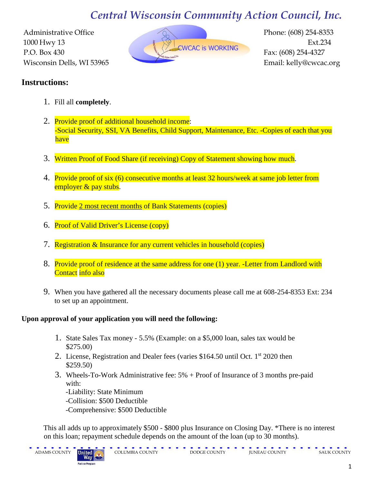# *Central Wisconsin Community Action Council, Inc.*



# **Instructions:**

- 1. Fill all **completely**.
- 2. Provide proof of additional household income: -Social Security, SSI, VA Benefits, Child Support, Maintenance, Etc. -Copies of each that you have
- 3. Written Proof of Food Share (if receiving) Copy of Statement showing how much.
- 4. Provide proof of six (6) consecutive months at least 32 hours/week at same job letter from employer & pay stubs.
- 5. Provide 2 most recent months of Bank Statements (copies)
- 6. Proof of Valid Driver's License (copy)
- 7. Registration & Insurance for any current vehicles in household (copies)
- 8. Provide proof of residence at the same address for one (1) year. -Letter from Landlord with Contact info also
- 9. When you have gathered all the necessary documents please call me at 608-254-8353 Ext: 234 to set up an appointment.

### **Upon approval of your application you will need the following:**

- 1. State Sales Tax money 5.5% (Example: on a \$5,000 loan, sales tax would be \$275.00)
- 2. License, Registration and Dealer fees (varies  $$164.50$  until Oct. 1<sup>st</sup> 2020 then \$259.50)
- 3. Wheels-To-Work Administrative fee: 5% + Proof of Insurance of 3 months pre-paid with:
	- -Liability: State Minimum
	- -Collision: \$500 Deductible
	- -Comprehensive: \$500 Deductible

This all adds up to approximately \$500 - \$800 plus Insurance on Closing Day. \*There is no interest on this loan; repayment schedule depends on the amount of the loan (up to 30 months).

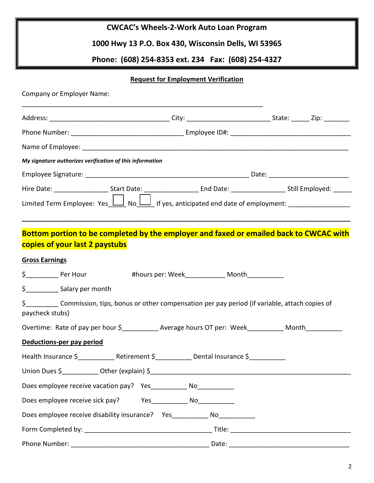| <b>CWCAC's Wheels-2-Work Auto Loan Program</b> |  |
|------------------------------------------------|--|
|------------------------------------------------|--|

**1000 Hwy 13 P.O. Box 430, Wisconsin Dells, WI 53965**

**Phone: (608) 254-8353 ext. 234 Fax: (608) 254-4327**

### **Request for Employment Verification**

| Company or Employer Name:                                                                                                      |  |  |
|--------------------------------------------------------------------------------------------------------------------------------|--|--|
|                                                                                                                                |  |  |
|                                                                                                                                |  |  |
|                                                                                                                                |  |  |
| My signature authorizes verification of this information                                                                       |  |  |
|                                                                                                                                |  |  |
|                                                                                                                                |  |  |
| Limited Term Employee: Yes <u>II</u> No II If yes, anticipated end date of employment: __________________________________      |  |  |
| Bottom portion to be completed by the employer and faxed or emailed back to CWCAC with<br>copies of your last 2 paystubs       |  |  |
| <b>Gross Earnings</b>                                                                                                          |  |  |
| \$_____________ Per Hour thours per: Week__________________ Month_____________                                                 |  |  |
|                                                                                                                                |  |  |
| \$_____________ Commission, tips, bonus or other compensation per pay period (if variable, attach copies of<br>paycheck stubs) |  |  |
| Overtime: Rate of pay per hour \$_____________ Average hours OT per: Week___________ Month___________                          |  |  |
| Deductions-per pay period                                                                                                      |  |  |
| Health Insurance \$______________Retirement \$______________Dental Insurance \$___________                                     |  |  |
|                                                                                                                                |  |  |
| Does employee receive vacation pay?  Yes ____________ No____________                                                           |  |  |
| Does employee receive sick pay? Yes ______________ No_____________                                                             |  |  |
| Does employee receive disability insurance?  Yes_____________ No___________                                                    |  |  |
|                                                                                                                                |  |  |
|                                                                                                                                |  |  |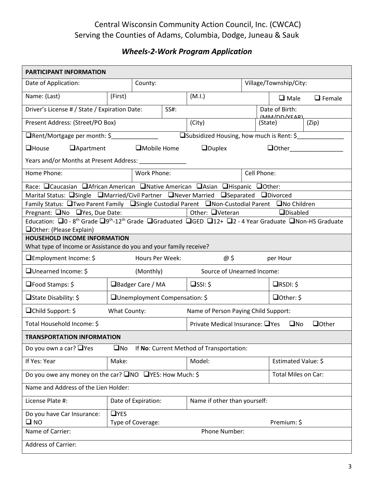# Central Wisconsin Community Action Council, Inc. (CWCAC) Serving the Counties of Adams, Columbia, Dodge, Juneau & Sauk

# *Wheels-2-Work Program Application*

| <b>PARTICIPANT INFORMATION</b>                                                                                                           |              |                                |      |                                           |             |                                 |               |
|------------------------------------------------------------------------------------------------------------------------------------------|--------------|--------------------------------|------|-------------------------------------------|-------------|---------------------------------|---------------|
| Date of Application:                                                                                                                     |              | County:                        |      |                                           |             | Village/Township/City:          |               |
| Name: (Last)                                                                                                                             | (First)      |                                |      | (M.I.)                                    |             | $\Box$ Male                     | $\Box$ Female |
| Driver's License # / State / Expiration Date:                                                                                            |              |                                | SS#: |                                           |             | Date of Birth:<br>(MAN/DD/VEAD) |               |
| Present Address: (Street/PO Box)                                                                                                         |              |                                |      | (City)                                    |             | (State)                         | (Zip)         |
| □Rent/Mortgage per month: \$                                                                                                             |              |                                |      | □Subsidized Housing, how much is Rent: \$ |             |                                 |               |
| <b>Apartment</b><br>$\Box$ House                                                                                                         |              | $\Box$ Mobile Home             |      | $\Box$ Duplex                             |             | $\Box$ Other                    |               |
| Years and/or Months at Present Address: ________________                                                                                 |              |                                |      |                                           |             |                                 |               |
| Home Phone:                                                                                                                              |              | Work Phone:                    |      |                                           | Cell Phone: |                                 |               |
| Race: QCaucasian QAfrican American QNative American QAsian QHispanic QOther:                                                             |              |                                |      |                                           |             |                                 |               |
| Marital Status: <b>Sample</b> CMarried/Civil Partner <b>CNever Married CS</b> eparated CDivorced                                         |              |                                |      |                                           |             |                                 |               |
| Family Status: □Two Parent Family □Single Custodial Parent □Non-Custodial Parent □No Children                                            |              |                                |      |                                           |             |                                 |               |
| Pregnant: ■No ■Yes, Due Date:                                                                                                            |              |                                |      | Other: $\Box$ Veteran                     |             | <b>QDisabled</b>                |               |
| Education: 0 - 8 <sup>th</sup> Grade 09 <sup>th</sup> -12 <sup>th</sup> Grade 0Graduated 0GED 012+ 02 - 4 Year Graduate 0Non-HS Graduate |              |                                |      |                                           |             |                                 |               |
| □Other: (Please Explain)                                                                                                                 |              |                                |      |                                           |             |                                 |               |
| <b>HOUSEHOLD INCOME INFORMATION</b><br>What type of Income or Assistance do you and your family receive?                                 |              |                                |      |                                           |             |                                 |               |
|                                                                                                                                          |              |                                |      |                                           |             |                                 |               |
| $\Box$ Employment Income: \$                                                                                                             |              | Hours Per Week:                |      | @ \$                                      |             | per Hour                        |               |
| □Unearned Income: \$                                                                                                                     |              | (Monthly)                      |      | Source of Unearned Income:                |             |                                 |               |
| $\square$ Food Stamps: \$                                                                                                                |              | $\Box$ Badger Care / MA        |      | $\Box$ SSI: \$                            |             | $\Box$ RSDI: \$                 |               |
| $\Box$ State Disability: \$                                                                                                              |              | □Unemployment Compensation: \$ |      |                                           |             | $\Box$ Other: \$                |               |
| $\Box$ Child Support: \$                                                                                                                 | What County: |                                |      | Name of Person Paying Child Support:      |             |                                 |               |
| Total Household Income: \$                                                                                                               |              |                                |      | Private Medical Insurance: $\Box$ Yes     |             | $\square$ No                    | $\Box$ Other  |
| <b>TRANSPORTATION INFORMATION</b>                                                                                                        |              |                                |      |                                           |             |                                 |               |
| Do you own a car? $\Box$ Yes                                                                                                             | $\square$ No |                                |      | If No: Current Method of Transportation:  |             |                                 |               |
| If Yes: Year                                                                                                                             | Make:        |                                |      | Model:                                    |             | Estimated Value: \$             |               |
| Do you owe any money on the car? $\square$ NO $\square$ YES: How Much: \$                                                                |              |                                |      |                                           |             | Total Miles on Car:             |               |
| Name and Address of the Lien Holder:                                                                                                     |              |                                |      |                                           |             |                                 |               |
| License Plate #:                                                                                                                         |              | Date of Expiration:            |      | Name if other than yourself:              |             |                                 |               |
| Do you have Car Insurance:                                                                                                               | $\Box$ YES   |                                |      |                                           |             |                                 |               |
| $\square$ NO                                                                                                                             |              | Type of Coverage:              |      |                                           |             | Premium: \$                     |               |
| Name of Carrier:                                                                                                                         |              |                                |      | Phone Number:                             |             |                                 |               |
| <b>Address of Carrier:</b>                                                                                                               |              |                                |      |                                           |             |                                 |               |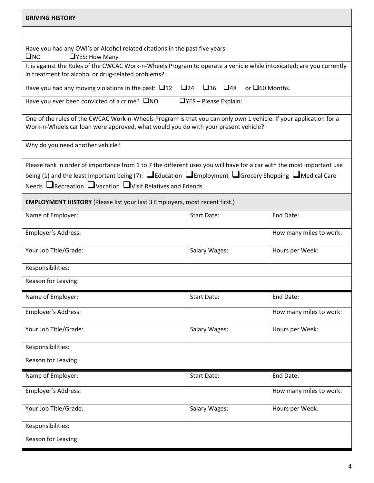| <b>DRIVING HISTORY</b>                                                                                                                                                                                                                                                                                                             |                                                                   |                         |
|------------------------------------------------------------------------------------------------------------------------------------------------------------------------------------------------------------------------------------------------------------------------------------------------------------------------------------|-------------------------------------------------------------------|-------------------------|
|                                                                                                                                                                                                                                                                                                                                    |                                                                   |                         |
| Have you had any OWI's or Alcohol related citations in the past five years:<br>$\square$ NO<br>$\Box$ YES: How Many                                                                                                                                                                                                                |                                                                   |                         |
| It is against the Rules of the CWCAC Work-n-Wheels Program to operate a vehicle while intoxicated; are you currently<br>in treatment for alcohol or drug-related problems?                                                                                                                                                         |                                                                   |                         |
| Have you had any moving violations in the past: $\Box$ 12                                                                                                                                                                                                                                                                          | $\square$ 36<br>or $\square$ 60 Months.<br>$\Box$ 24<br>$\Box$ 48 |                         |
| Have you ever been convicted of a crime? $\square$ NO                                                                                                                                                                                                                                                                              | $\Box$ YES - Please Explain:                                      |                         |
| One of the rules of the CWCAC Work-n-Wheels Program is that you can only own 1 vehicle. If your application for a<br>Work-n-Wheels car loan were approved, what would you do with your present vehicle?                                                                                                                            |                                                                   |                         |
| Why do you need another vehicle?                                                                                                                                                                                                                                                                                                   |                                                                   |                         |
| Please rank in order of importance from 1 to 7 the different uses you will have for a car with the most important use<br>being (1) and the least important being (7): $\Box$ Education $\Box$ Employment $\Box$ Grocery Shopping $\Box$ Medical Care<br>Needs $\Box$ Recreation $\Box$ Vacation $\Box$ Visit Relatives and Friends |                                                                   |                         |
| <b>EMPLOYMENT HISTORY</b> (Please list your last 3 Employers, most recent first.)                                                                                                                                                                                                                                                  |                                                                   |                         |
| Name of Employer:                                                                                                                                                                                                                                                                                                                  | <b>Start Date:</b>                                                | End Date:               |
| Employer's Address:                                                                                                                                                                                                                                                                                                                |                                                                   | How many miles to work: |
| Your Job Title/Grade:                                                                                                                                                                                                                                                                                                              | Salary Wages:                                                     | Hours per Week:         |
| Responsibilities:                                                                                                                                                                                                                                                                                                                  |                                                                   |                         |
| Reason for Leaving:                                                                                                                                                                                                                                                                                                                |                                                                   |                         |
| Name of Employer:                                                                                                                                                                                                                                                                                                                  | <b>Start Date:</b>                                                | End Date:               |
| Employer's Address:                                                                                                                                                                                                                                                                                                                |                                                                   | How many miles to work: |
| Your Job Title/Grade:                                                                                                                                                                                                                                                                                                              | Salary Wages:                                                     | Hours per Week:         |
| Responsibilities:                                                                                                                                                                                                                                                                                                                  |                                                                   |                         |
| Reason for Leaving:                                                                                                                                                                                                                                                                                                                |                                                                   |                         |
| Name of Employer:                                                                                                                                                                                                                                                                                                                  | <b>Start Date:</b>                                                | End Date:               |
| Employer's Address:                                                                                                                                                                                                                                                                                                                |                                                                   | How many miles to work: |
| Your Job Title/Grade:                                                                                                                                                                                                                                                                                                              | Salary Wages:                                                     | Hours per Week:         |
| Responsibilities:                                                                                                                                                                                                                                                                                                                  |                                                                   |                         |
| Reason for Leaving:                                                                                                                                                                                                                                                                                                                |                                                                   |                         |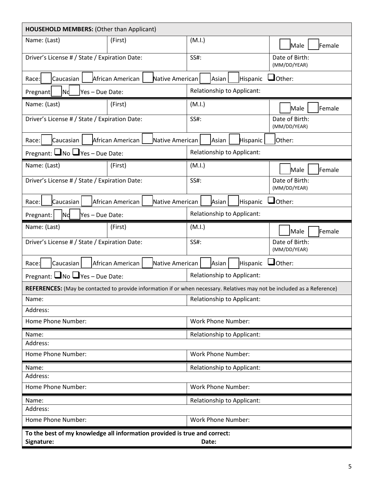| HOUSEHOLD MEMBERS: (Other than Applicant)                                 |                                     |                                                                                                                          |                                |  |  |
|---------------------------------------------------------------------------|-------------------------------------|--------------------------------------------------------------------------------------------------------------------------|--------------------------------|--|--|
| Name: (Last)                                                              | (First)                             | (M.I.)                                                                                                                   | Female<br>Male                 |  |  |
| Driver's License # / State / Expiration Date:                             |                                     | SS#:                                                                                                                     | Date of Birth:<br>(MM/DD/YEAR) |  |  |
| Caucasian<br>Race:                                                        | African American<br>Native American | Hispanic<br>Asian                                                                                                        | $\Box$ Other:                  |  |  |
| lnd.<br>Yes - Due Date:<br>Pregnant                                       |                                     | Relationship to Applicant:                                                                                               |                                |  |  |
| Name: (Last)                                                              | (First)                             | (M.I.)                                                                                                                   | Female<br>Male                 |  |  |
| Driver's License # / State / Expiration Date:                             |                                     | SS#:                                                                                                                     | Date of Birth:<br>(MM/DD/YEAR) |  |  |
| Race:<br>Caucasian                                                        | African American<br>Native American | Hispanic<br>Asian                                                                                                        | Other:                         |  |  |
| Pregnant: $\Box$ No $\Box$ Yes - Due Date:                                |                                     | Relationship to Applicant:                                                                                               |                                |  |  |
| Name: (Last)                                                              | (First)                             | (M.I.)                                                                                                                   | Female<br>Male                 |  |  |
| Driver's License # / State / Expiration Date:                             |                                     | SS#:                                                                                                                     | Date of Birth:<br>(MM/DD/YEAR) |  |  |
| Caucasian<br>Race:                                                        | Native American<br>African American | Hispanic<br>Asian                                                                                                        | $J$ Other:                     |  |  |
| Pregnant:<br>lNd<br>Yes - Due Date:                                       |                                     | Relationship to Applicant:                                                                                               |                                |  |  |
| Name: (Last)                                                              | (First)                             | (M.I.)                                                                                                                   | Female<br>Male                 |  |  |
| Driver's License # / State / Expiration Date:                             |                                     | SS#:                                                                                                                     | Date of Birth:<br>(MM/DD/YEAR) |  |  |
| Caucasian<br>Race:                                                        | African American<br>Native American | Asian<br>Hispanic                                                                                                        | $\Box$ Other:                  |  |  |
| Pregnant: $\Box$ No $\Box$ Yes – Due Date:                                |                                     | <b>Relationship to Applicant:</b>                                                                                        |                                |  |  |
|                                                                           |                                     | REFERENCES: (May be contacted to provide information if or when necessary. Relatives may not be included as a Reference) |                                |  |  |
| Name:                                                                     |                                     | Relationship to Applicant:                                                                                               |                                |  |  |
| Address:                                                                  |                                     |                                                                                                                          |                                |  |  |
| Home Phone Number:                                                        |                                     | <b>Work Phone Number:</b>                                                                                                |                                |  |  |
| Name:<br>Address:                                                         |                                     | Relationship to Applicant:                                                                                               |                                |  |  |
| Home Phone Number:                                                        |                                     | <b>Work Phone Number:</b>                                                                                                |                                |  |  |
| Name:                                                                     |                                     | Relationship to Applicant:                                                                                               |                                |  |  |
| Address:                                                                  |                                     |                                                                                                                          |                                |  |  |
| Home Phone Number:                                                        |                                     | <b>Work Phone Number:</b>                                                                                                |                                |  |  |
| Name:<br>Address:                                                         |                                     | Relationship to Applicant:                                                                                               |                                |  |  |
| Home Phone Number:                                                        |                                     | <b>Work Phone Number:</b>                                                                                                |                                |  |  |
| To the best of my knowledge all information provided is true and correct: |                                     |                                                                                                                          |                                |  |  |
| Signature:                                                                |                                     | Date:                                                                                                                    |                                |  |  |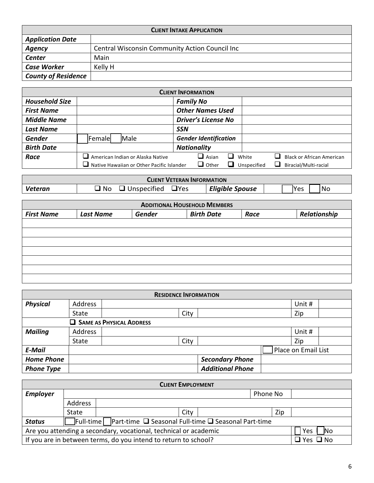| <b>CLIENT INTAKE APPLICATION</b> |                                                |  |
|----------------------------------|------------------------------------------------|--|
| <b>Application Date</b>          |                                                |  |
| Agency                           | Central Wisconsin Community Action Council Inc |  |
| <b>Center</b>                    | Main                                           |  |
| <b>Case Worker</b>               | Kelly H                                        |  |
| <b>County of Residence</b>       |                                                |  |

|                       |                                           | <b>CLIENT INFORMATION</b>    |                                  |
|-----------------------|-------------------------------------------|------------------------------|----------------------------------|
| <b>Household Size</b> |                                           | <b>Family No</b>             |                                  |
| <b>First Name</b>     |                                           | <b>Other Names Used</b>      |                                  |
| <b>Middle Name</b>    |                                           | <b>Driver's License No</b>   |                                  |
| <b>Last Name</b>      |                                           | <b>SSN</b>                   |                                  |
| <b>Gender</b>         | Male<br>Female                            | <b>Gender Identification</b> |                                  |
| <b>Birth Date</b>     |                                           | <b>Nationality</b>           |                                  |
| Race                  | $\Box$ American Indian or Alaska Native   | $\Box$ Asian<br>White        | <b>Black or African American</b> |
|                       | Native Hawaiian or Other Pacific Islander | $\Box$ Other<br>Unspecified  | Biracial/Multi-racial<br>ப       |

|         | CLIENT VETERAN INFORMATION         |                        |                          |
|---------|------------------------------------|------------------------|--------------------------|
| Veteran | <b>T</b> Yes<br>.No<br>Unspecified | <b>Eligible Spouse</b> | <i><b>Yes</b></i><br>'No |

|                   |                  |               | <b>ADDITIONAL HOUSEHOLD MEMBERS</b> |      |              |
|-------------------|------------------|---------------|-------------------------------------|------|--------------|
| <b>First Name</b> | <b>Last Name</b> | <b>Gender</b> | <b>Birth Date</b>                   | Race | Relationship |
|                   |                  |               |                                     |      |              |
|                   |                  |               |                                     |      |              |
|                   |                  |               |                                     |      |              |
|                   |                  |               |                                     |      |              |
|                   |                  |               |                                     |      |              |
|                   |                  |               |                                     |      |              |
|                   |                  |               |                                     |      |              |

|                   |              | <b>RESIDENCE INFORMATION</b> |                         |                     |  |
|-------------------|--------------|------------------------------|-------------------------|---------------------|--|
| <b>Physical</b>   | Address      |                              |                         | Unit #              |  |
|                   | State        | City                         |                         | Zip                 |  |
|                   |              | SAME AS PHYSICAL ADDRESS     |                         |                     |  |
| <b>Mailing</b>    | Address      |                              |                         | Unit #              |  |
|                   | <b>State</b> | City                         |                         | Zip                 |  |
| <b>E-Mail</b>     |              |                              |                         | Place on Email List |  |
| <b>Home Phone</b> |              |                              | <b>Secondary Phone</b>  |                     |  |
| <b>Phone Type</b> |              |                              | <b>Additional Phone</b> |                     |  |

|                 | <b>CLIENT EMPLOYMENT</b>                                                          |                                                                 |      |  |          |     |                      |
|-----------------|-----------------------------------------------------------------------------------|-----------------------------------------------------------------|------|--|----------|-----|----------------------|
| <b>Employer</b> |                                                                                   |                                                                 |      |  | Phone No |     |                      |
|                 | Address                                                                           |                                                                 |      |  |          |     |                      |
|                 | State                                                                             |                                                                 | City |  |          | Zip |                      |
| <b>Status</b>   | $\exists$ Full-time Part-time $\Box$ Seasonal Full-time $\Box$ Seasonal Part-time |                                                                 |      |  |          |     |                      |
|                 | Are you attending a secondary, vocational, technical or academic<br>Yes<br>lNo    |                                                                 |      |  |          |     |                      |
|                 |                                                                                   | If you are in between terms, do you intend to return to school? |      |  |          |     | $\Box$ Yes $\Box$ No |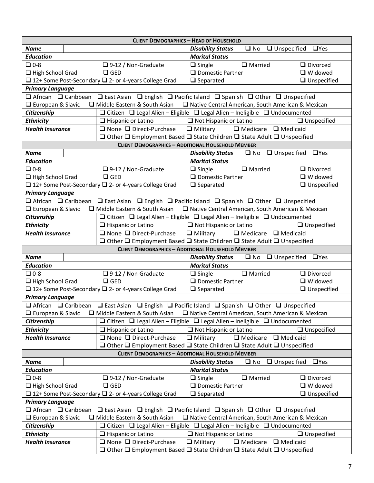|                                                                                                                                                              |                                                                  | <b>CLIENT DEMOGRAPHICS - HEAD OF HOUSEHOLD</b>                                                                                        |                    |
|--------------------------------------------------------------------------------------------------------------------------------------------------------------|------------------------------------------------------------------|---------------------------------------------------------------------------------------------------------------------------------------|--------------------|
| <b>Name</b>                                                                                                                                                  |                                                                  | $\Box$ No $\Box$ Unspecified $\Box$ Yes<br><b>Disability Status</b>                                                                   |                    |
| <b>Education</b>                                                                                                                                             |                                                                  | <b>Marital Status</b>                                                                                                                 |                    |
| $\n  D 0-8$                                                                                                                                                  | $\Box$ 9-12 / Non-Graduate                                       | $\Box$ Married<br>$\Box$ Single                                                                                                       | $\Box$ Divorced    |
| $\Box$ High School Grad                                                                                                                                      | $\Box$ GED                                                       | $\Box$ Domestic Partner                                                                                                               | $\Box$ Widowed     |
|                                                                                                                                                              | □ 12+ Some Post-Secondary □ 2- or 4-years College Grad           | $\Box$ Separated                                                                                                                      | $\Box$ Unspecified |
| <b>Primary Language</b>                                                                                                                                      |                                                                  |                                                                                                                                       |                    |
|                                                                                                                                                              |                                                                  | $\Box$ African $\Box$ Caribbean $\Box$ East Asian $\Box$ English $\Box$ Pacific Island $\Box$ Spanish $\Box$ Other $\Box$ Unspecified |                    |
| $\Box$ European & Slavic                                                                                                                                     | Middle Eastern & South Asian                                     | □ Native Central American, South American & Mexican                                                                                   |                    |
| Citizenship                                                                                                                                                  |                                                                  | $\Box$ Citizen $\Box$ Legal Alien - Eligible $\Box$ Legal Alien - Ineligible $\Box$ Undocumented                                      |                    |
| <b>Ethnicity</b>                                                                                                                                             | $\Box$ Hispanic or Latino                                        | $\Box$ Not Hispanic or Latino                                                                                                         | $\Box$ Unspecified |
| <b>Health Insurance</b>                                                                                                                                      | $\Box$ None $\Box$ Direct-Purchase                               | $\Box$ Military $\Box$ Medicare $\Box$ Medicaid                                                                                       |                    |
|                                                                                                                                                              |                                                                  | $\Box$ Other $\Box$ Employment Based $\Box$ State Children $\Box$ State Adult $\Box$ Unspecified                                      |                    |
|                                                                                                                                                              |                                                                  | <b>CLIENT DEMOGRAPHICS - ADDITIONAL HOUSEHOLD MEMBER</b>                                                                              |                    |
| <b>Name</b>                                                                                                                                                  |                                                                  | $\Box$ No $\Box$ Unspecified<br><b>Disability Status</b>                                                                              | $\Box$ Yes         |
| <b>Education</b>                                                                                                                                             |                                                                  | <b>Marital Status</b>                                                                                                                 |                    |
| $\n  D 0-8$                                                                                                                                                  | $\Box$ 9-12 / Non-Graduate                                       | $\Box$ Married<br>$\Box$ Single                                                                                                       | $\Box$ Divorced    |
| $\Box$ High School Grad                                                                                                                                      | $\Box$ GED                                                       | $\Box$ Domestic Partner                                                                                                               | $\Box$ Widowed     |
|                                                                                                                                                              | □ 12+ Some Post-Secondary □ 2- or 4-years College Grad           | $\Box$ Separated                                                                                                                      | $\Box$ Unspecified |
| <b>Primary Language</b>                                                                                                                                      |                                                                  |                                                                                                                                       |                    |
|                                                                                                                                                              |                                                                  | $\Box$ African $\Box$ Caribbean $\Box$ East Asian $\Box$ English $\Box$ Pacific Island $\Box$ Spanish $\Box$ Other $\Box$ Unspecified |                    |
| European & Slavic                                                                                                                                            | $\Box$ Middle Eastern & South Asian                              | □ Native Central American, South American & Mexican                                                                                   |                    |
| Citizenship                                                                                                                                                  |                                                                  | $\Box$ Citizen $\Box$ Legal Alien - Eligible $\Box$ Legal Alien - Ineligible $\Box$ Undocumented                                      |                    |
| <b>Ethnicity</b>                                                                                                                                             | $\Box$ Hispanic or Latino                                        | $\Box$ Not Hispanic or Latino                                                                                                         | $\Box$ Unspecified |
| <b>Health Insurance</b>                                                                                                                                      | $\Box$ None $\Box$ Direct-Purchase                               | $\Box$ Medicare $\Box$ Medicaid<br>$\Box$ Military                                                                                    |                    |
|                                                                                                                                                              |                                                                  |                                                                                                                                       |                    |
| $\Box$ Other $\Box$ Employment Based $\Box$ State Children $\Box$ State Adult $\Box$ Unspecified<br><b>CLIENT DEMOGRAPHICS - ADDITIONAL HOUSEHOLD MEMBER</b> |                                                                  |                                                                                                                                       |                    |
|                                                                                                                                                              |                                                                  |                                                                                                                                       |                    |
| <b>Name</b>                                                                                                                                                  |                                                                  | $\Box$ No $\Box$ Unspecified $\Box$ Yes<br><b>Disability Status</b>                                                                   |                    |
| <b>Education</b>                                                                                                                                             |                                                                  | <b>Marital Status</b>                                                                                                                 |                    |
| $\n  D 0-8$                                                                                                                                                  | $\Box$ 9-12 / Non-Graduate                                       | $\Box$ Married<br>$\Box$ Single                                                                                                       | $\Box$ Divorced    |
| $\Box$ High School Grad                                                                                                                                      | $\Box$ GED                                                       | $\Box$ Domestic Partner                                                                                                               | $\Box$ Widowed     |
|                                                                                                                                                              | □ 12+ Some Post-Secondary □ 2- or 4-years College Grad           | $\Box$ Separated                                                                                                                      | $\Box$ Unspecified |
| <b>Primary Language</b>                                                                                                                                      |                                                                  |                                                                                                                                       |                    |
|                                                                                                                                                              |                                                                  | $\Box$ African $\Box$ Caribbean $\Box$ East Asian $\Box$ English $\Box$ Pacific Island $\Box$ Spanish $\Box$ Other $\Box$ Unspecified |                    |
| $\Box$ European & Slavic                                                                                                                                     | Middle Eastern & South Asian                                     | □ Native Central American, South American & Mexican                                                                                   |                    |
| Citizenship                                                                                                                                                  |                                                                  | $\Box$ Citizen $\Box$ Legal Alien – Eligible $\Box$ Legal Alien – Ineligible $\Box$ Undocumented                                      |                    |
| <b>Ethnicity</b>                                                                                                                                             | $\Box$ Hispanic or Latino                                        | $\Box$ Not Hispanic or Latino                                                                                                         | $\Box$ Unspecified |
| <b>Health Insurance</b>                                                                                                                                      | $\Box$ None $\Box$ Direct-Purchase                               | $\Box$ Military<br>$\Box$ Medicare $\Box$ Medicaid                                                                                    |                    |
|                                                                                                                                                              |                                                                  | $\Box$ Other $\Box$ Employment Based $\Box$ State Children $\Box$ State Adult $\Box$ Unspecified                                      |                    |
|                                                                                                                                                              |                                                                  | <b>CLIENT DEMOGRAPHICS - ADDITIONAL HOUSEHOLD MEMBER</b>                                                                              |                    |
| <b>Name</b>                                                                                                                                                  |                                                                  | <b>Disability Status</b><br>$\square$ No<br>$\Box$ Unspecified                                                                        | $\Box$ Yes         |
| <b>Education</b>                                                                                                                                             |                                                                  | <b>Marital Status</b>                                                                                                                 |                    |
| $\n  D 0-8$                                                                                                                                                  | $\Box$ 9-12 / Non-Graduate                                       | $\Box$ Married<br>$\Box$ Single                                                                                                       | $\Box$ Divorced    |
| High School Grad                                                                                                                                             | $\Box$ GED                                                       | $\Box$ Domestic Partner                                                                                                               | □ Widowed          |
|                                                                                                                                                              | $\Box$ 12+ Some Post-Secondary $\Box$ 2- or 4-years College Grad | $\Box$ Separated                                                                                                                      | $\Box$ Unspecified |
| <b>Primary Language</b>                                                                                                                                      |                                                                  |                                                                                                                                       |                    |
| $\Box$ African $\Box$ Caribbean                                                                                                                              |                                                                  | $\Box$ East Asian $\Box$ English $\Box$ Pacific Island $\Box$ Spanish $\Box$ Other $\Box$ Unspecified                                 |                    |
| □ European & Slavic                                                                                                                                          | Middle Eastern & South Asian                                     | □ Native Central American, South American & Mexican                                                                                   |                    |
| Citizenship                                                                                                                                                  |                                                                  | $\Box$ Citizen $\Box$ Legal Alien - Eligible $\Box$ Legal Alien - Ineligible $\Box$ Undocumented                                      |                    |
| <b>Ethnicity</b>                                                                                                                                             | $\Box$ Hispanic or Latino                                        | $\Box$ Not Hispanic or Latino                                                                                                         | $\Box$ Unspecified |
| <b>Health Insurance</b>                                                                                                                                      | $\Box$ None $\Box$ Direct-Purchase                               | $\Box$ Military<br>$\Box$ Medicare $\Box$ Medicaid                                                                                    |                    |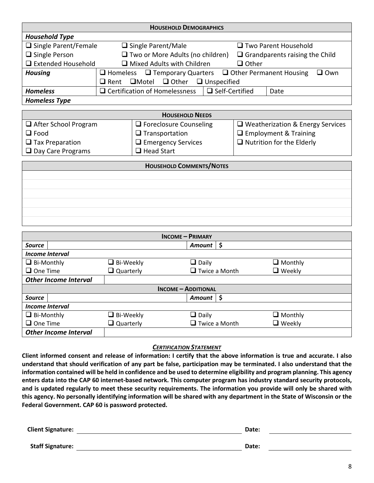| <b>HOUSEHOLD DEMOGRAPHICS</b>                                        |                                                                                           |  |  |
|----------------------------------------------------------------------|-------------------------------------------------------------------------------------------|--|--|
| <b>Household Type</b>                                                |                                                                                           |  |  |
| $\Box$ Single Parent/Female                                          | $\Box$ Single Parent/Male<br>$\Box$ Two Parent Household                                  |  |  |
| $\Box$ Single Person                                                 | $\Box$ Two or More Adults (no children)<br>$\Box$ Grandparents raising the Child          |  |  |
| $\Box$ Extended Household                                            | $\Box$ Mixed Adults with Children<br>$\Box$ Other                                         |  |  |
| <b>Housing</b>                                                       | $\Box$ Homeless $\Box$ Temporary Quarters $\Box$ Other Permanent Housing<br>$\square$ Own |  |  |
| $\square$ Motel $\square$ Other<br>$\Box$ Unspecified<br>$\Box$ Rent |                                                                                           |  |  |
| <b>Homeless</b>                                                      | $\Box$ Self-Certified<br>$\Box$ Certification of Homelessness<br>Date                     |  |  |
| <b>Homeless Type</b>                                                 |                                                                                           |  |  |

| <b>HOUSEHOLD NEEDS</b>      |                               |                                         |  |
|-----------------------------|-------------------------------|-----------------------------------------|--|
| $\Box$ After School Program | $\Box$ Foreclosure Counseling | $\Box$ Weatherization & Energy Services |  |
| $\Box$ Food                 | $\Box$ Transportation         | $\Box$ Employment & Training            |  |
| $\Box$ Tax Preparation      | $\Box$ Emergency Services     | $\Box$ Nutrition for the Elderly        |  |
| $\Box$ Day Care Programs    | $\Box$ Head Start             |                                         |  |

| <b>HOUSEHOLD COMMENTS/NOTES</b> |  |  |
|---------------------------------|--|--|
|                                 |  |  |
|                                 |  |  |
|                                 |  |  |
|                                 |  |  |
|                                 |  |  |
|                                 |  |  |

| <b>INCOME - PRIMARY</b>      |                     |                            |                |  |
|------------------------------|---------------------|----------------------------|----------------|--|
| <b>Source</b>                |                     | $Amount  $ \$              |                |  |
| Income Interval              |                     |                            |                |  |
| $\Box$ Bi-Monthly            | $\Box$ Bi-Weekly    | $\Box$ Daily               | $\Box$ Monthly |  |
| $\Box$ One Time              | $\square$ Quarterly | $\Box$ Twice a Month       | $\Box$ Weekly  |  |
| <b>Other Income Interval</b> |                     |                            |                |  |
|                              |                     | <b>INCOME - ADDITIONAL</b> |                |  |
| <b>Source</b>                |                     | Amount $\vert$ \$          |                |  |
| Income Interval              |                     |                            |                |  |
| $\Box$ Bi-Monthly            | $\Box$ Bi-Weekly    | $\Box$ Daily               | $\Box$ Monthly |  |
| $\Box$ One Time              | $\square$ Quarterly | $\Box$ Twice a Month       | $\Box$ Weekly  |  |
| <b>Other Income Interval</b> |                     |                            |                |  |

#### *CERTIFICATION STATEMENT*

**Client informed consent and release of information: I certify that the above information is true and accurate. I also understand that should verification of any part be false, participation may be terminated. I also understand that the information contained will be held in confidence and be used to determine eligibility and program planning. This agency enters data into the CAP 60 internet-based network. This computer program has industry standard security protocols, and is updated regularly to meet these security requirements. The information you provide will only be shared with this agency. No personally identifying information will be shared with any department in the State of Wisconsin or the Federal Government. CAP 60 is password protected.**

| <b>Client Signature:</b> | Date: |  |
|--------------------------|-------|--|
| <b>Staff Signature:</b>  | Date: |  |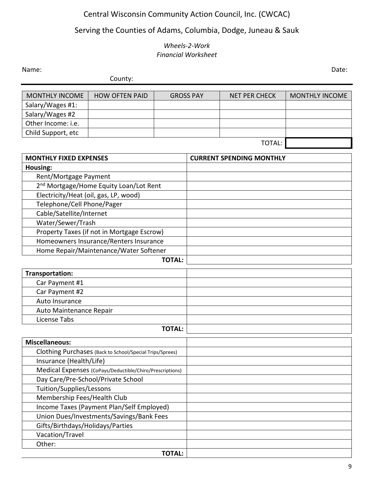# Central Wisconsin Community Action Council, Inc. (CWCAC)

# Serving the Counties of Adams, Columbia, Dodge, Juneau & Sauk

#### *Wheels-2-Work Financial Worksheet*

Name: Date:

County:

| <b>MONTHLY INCOME</b> | <b>HOW OFTEN PAID</b> | <b>GROSS PAY</b> | NET PER CHECK | <b>MONTHLY INCOME</b> |
|-----------------------|-----------------------|------------------|---------------|-----------------------|
| Salary/Wages #1:      |                       |                  |               |                       |
| Salary/Wages #2       |                       |                  |               |                       |
| Other Income: i.e.    |                       |                  |               |                       |
| Child Support, etc    |                       |                  |               |                       |
|                       |                       |                  |               |                       |

| × |
|---|
|---|

| <b>MONTHLY FIXED EXPENSES</b>                            | <b>CURRENT SPENDING MONTHLY</b> |
|----------------------------------------------------------|---------------------------------|
| Housing:                                                 |                                 |
| Rent/Mortgage Payment                                    |                                 |
| 2 <sup>nd</sup> Mortgage/Home Equity Loan/Lot Rent       |                                 |
| Electricity/Heat (oil, gas, LP, wood)                    |                                 |
| Telephone/Cell Phone/Pager                               |                                 |
| Cable/Satellite/Internet                                 |                                 |
| Water/Sewer/Trash                                        |                                 |
| Property Taxes (if not in Mortgage Escrow)               |                                 |
| Homeowners Insurance/Renters Insurance                   |                                 |
| Home Repair/Maintenance/Water Softener                   |                                 |
| <b>TOTAL:</b>                                            |                                 |
| <b>Transportation:</b>                                   |                                 |
| Car Payment #1                                           |                                 |
| Car Payment #2                                           |                                 |
| Auto Insurance                                           |                                 |
| Auto Maintenance Repair                                  |                                 |
| License Tabs                                             |                                 |
| <b>TOTAL:</b>                                            |                                 |
| <b>Miscellaneous:</b>                                    |                                 |
| Clothing Purchases (Back to School/Special Trips/Sprees) |                                 |
| Insurance (Health/Life)                                  |                                 |
| Medical Expenses (CoPays/Deductible/Chiro/Prescriptions) |                                 |
| Day Care/Pre-School/Private School                       |                                 |
| Tuition/Supplies/Lessons                                 |                                 |
| Membership Fees/Health Club                              |                                 |
| Income Taxes (Payment Plan/Self Employed)                |                                 |
| Union Dues/Investments/Savings/Bank Fees                 |                                 |
| Gifts/Birthdays/Holidays/Parties                         |                                 |
| Vacation/Travel                                          |                                 |
| Other:                                                   |                                 |
| <b>TOTAL:</b>                                            |                                 |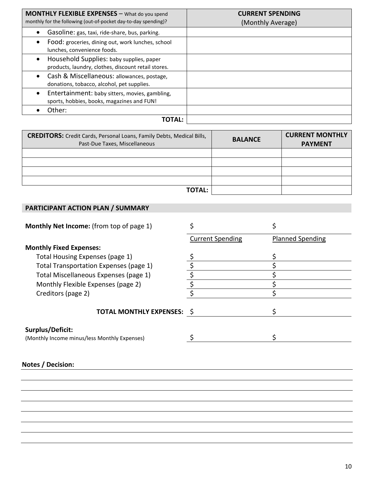| <b>MONTHLY FLEXIBLE EXPENSES</b> - What do you spend<br>monthly for the following (out-of-pocket day-to-day spending)? | <b>CURRENT SPENDING</b><br>(Monthly Average) |
|------------------------------------------------------------------------------------------------------------------------|----------------------------------------------|
| Gasoline: gas, taxi, ride-share, bus, parking.<br>$\bullet$                                                            |                                              |
| Food: groceries, dining out, work lunches, school<br>$\bullet$<br>lunches, convenience foods.                          |                                              |
| Household Supplies: baby supplies, paper<br>$\bullet$<br>products, laundry, clothes, discount retail stores.           |                                              |
| Cash & Miscellaneous: allowances, postage,<br>$\bullet$<br>donations, tobacco, alcohol, pet supplies.                  |                                              |
| Entertainment: baby sitters, movies, gambling,<br>$\bullet$<br>sports, hobbies, books, magazines and FUN!              |                                              |
| Other:                                                                                                                 |                                              |
| TOTAL:                                                                                                                 |                                              |

| <b>CREDITORS:</b> Credit Cards, Personal Loans, Family Debts, Medical Bills,<br>Past-Due Taxes, Miscellaneous | <b>BALANCE</b> | <b>CURRENT MONTHLY</b><br><b>PAYMENT</b> |
|---------------------------------------------------------------------------------------------------------------|----------------|------------------------------------------|
|                                                                                                               |                |                                          |
|                                                                                                               |                |                                          |
|                                                                                                               |                |                                          |
|                                                                                                               |                |                                          |
| <b>TOTAL:</b>                                                                                                 |                |                                          |

### **PARTICIPANT ACTION PLAN / SUMMARY**

| <b>Monthly Net Income:</b> (from top of page 1)                  |                                 | \$                      |
|------------------------------------------------------------------|---------------------------------|-------------------------|
|                                                                  | <b>Current Spending</b>         | <b>Planned Spending</b> |
| <b>Monthly Fixed Expenses:</b>                                   |                                 |                         |
| Total Housing Expenses (page 1)                                  |                                 |                         |
| Total Transportation Expenses (page 1)                           |                                 |                         |
| Total Miscellaneous Expenses (page 1)                            | \$                              |                         |
| Monthly Flexible Expenses (page 2)                               | $\overline{\boldsymbol{\zeta}}$ |                         |
| Creditors (page 2)                                               |                                 |                         |
| <b>TOTAL MONTHLY EXPENSES: \$</b>                                |                                 |                         |
| Surplus/Deficit:<br>(Monthly Income minus/less Monthly Expenses) |                                 |                         |
|                                                                  |                                 |                         |
| Notes / Decision:                                                |                                 |                         |
|                                                                  |                                 |                         |
|                                                                  |                                 |                         |
|                                                                  |                                 |                         |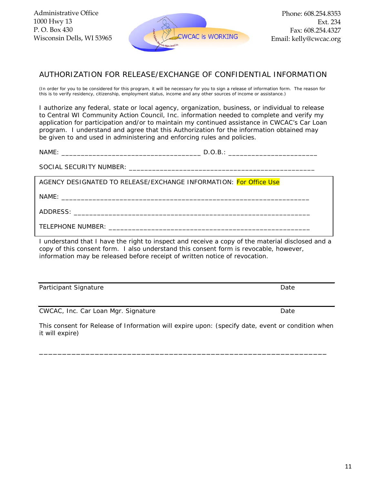

#### AUTHORIZATION FOR RELEASE/EXCHANGE OF CONFIDENTIAL INFORMATION

(In order for you to be considered for this program, it will be necessary for you to sign a release of information form. The reason for this is to verify residency, citizenship, employment status, income and any other sources of income or assistance.)

*I authorize any federal, state or local agency, organization, business, or individual to release to Central WI Community Action Council, Inc. information needed to complete and verify my application for participation and/or to maintain my continued assistance in CWCAC's Car Loan program. I understand and agree that this Authorization for the information obtained may be given to and used in administering and enforcing rules and policies.*

NAME: \_\_\_\_\_\_\_\_\_\_\_\_\_\_\_\_\_\_\_\_\_\_\_\_\_\_\_\_\_\_\_\_\_\_\_\_ D.O.B.: \_\_\_\_\_\_\_\_\_\_\_\_\_\_\_\_\_\_\_\_\_\_\_

SOCIAL SECURITY NUMBER: \_\_\_\_\_\_\_\_\_\_\_\_\_\_\_\_\_\_\_\_\_\_\_\_\_\_\_\_\_\_\_\_\_\_\_\_\_\_\_\_\_\_\_\_\_\_\_\_

AGENCY DESIGNATED TO RELEASE/EXCHANGE INFORMATION: *For Office Use*

NAME: \_\_\_\_\_\_\_\_\_\_\_\_\_\_\_\_\_\_\_\_\_\_\_\_\_\_\_\_\_\_\_\_\_\_\_\_\_\_\_\_\_\_\_\_\_\_\_\_\_\_\_\_\_\_\_\_\_\_\_\_\_\_\_\_

ADDRESS: \_\_\_\_\_\_\_\_\_\_\_\_\_\_\_\_\_\_\_\_\_\_\_\_\_\_\_\_\_\_\_\_\_\_\_\_\_\_\_\_\_\_\_\_\_\_\_\_\_\_\_\_\_\_\_\_\_\_\_\_\_

TELEPHONE NUMBER: \_\_\_\_\_\_\_\_\_\_\_\_\_\_\_\_\_\_\_\_\_\_\_\_\_\_\_\_\_\_\_\_\_\_\_\_\_\_\_\_\_\_\_\_\_\_\_\_\_\_\_\_

I understand that I have the right to inspect and receive a copy of the material disclosed and a copy of this consent form. I also understand this consent form is revocable, however, information may be released before receipt of written notice of revocation.

Participant Signature Date

CWCAC, Inc. Car Loan Mgr. Signature **Date** Date Date

This consent for Release of Information will expire upon: (specify date, event or condition when it will expire)

\_\_\_\_\_\_\_\_\_\_\_\_\_\_\_\_\_\_\_\_\_\_\_\_\_\_\_\_\_\_\_\_\_\_\_\_\_\_\_\_\_\_\_\_\_\_\_\_\_\_\_\_\_\_\_\_\_\_\_\_\_\_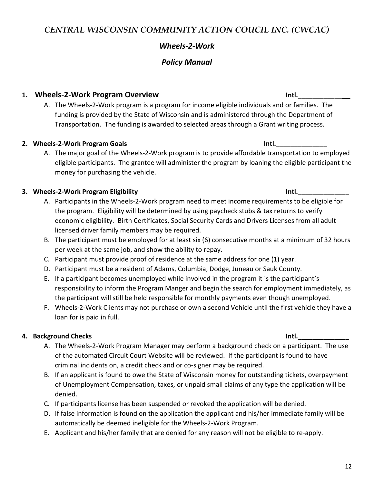# *Wheels-2-Work*

# *Policy Manual*

### **1. Wheels-2-Work Program Overview Intl.\_\_\_\_\_\_\_\_\_\_\_\_\_\_**

A. The Wheels-2-Work program is a program for income eligible individuals and or families. The funding is provided by the State of Wisconsin and is administered through the Department of Transportation. The funding is awarded to selected areas through a Grant writing process.

### **2. Wheels-2-Work Program Goals Intl.\_\_\_\_\_\_\_\_\_\_\_\_\_\_**

A. The major goal of the Wheels-2-Work program is to provide affordable transportation to employed eligible participants. The grantee will administer the program by loaning the eligible participant the money for purchasing the vehicle.

### **3. Wheels-2-Work Program Eligibility Intl.\_\_\_\_\_\_\_\_\_\_\_\_\_\_**

- A. Participants in the Wheels-2-Work program need to meet income requirements to be eligible for the program. Eligibility will be determined by using paycheck stubs & tax returns to verify economic eligibility. Birth Certificates, Social Security Cards and Drivers Licenses from all adult licensed driver family members may be required.
- B. The participant must be employed for at least six (6) consecutive months at a minimum of 32 hours per week at the same job, and show the ability to repay.
- C. Participant must provide proof of residence at the same address for one (1) year.
- D. Participant must be a resident of Adams, Columbia, Dodge, Juneau or Sauk County.
- E. If a participant becomes unemployed while involved in the program it is the participant's responsibility to inform the Program Manger and begin the search for employment immediately, as the participant will still be held responsible for monthly payments even though unemployed.
- F. Wheels-2-Work Clients may not purchase or own a second Vehicle until the first vehicle they have a loan for is paid in full.

### **4. Background Checks Intl.\_\_\_\_\_\_\_\_\_\_\_\_\_\_**

- A. The Wheels-2-Work Program Manager may perform a background check on a participant. The use of the automated Circuit Court Website will be reviewed. If the participant is found to have criminal incidents on, a credit check and or co-signer may be required.
- B. If an applicant is found to owe the State of Wisconsin money for outstanding tickets, overpayment of Unemployment Compensation, taxes, or unpaid small claims of any type the application will be denied.
- C. If participants license has been suspended or revoked the application will be denied.
- D. If false information is found on the application the applicant and his/her immediate family will be automatically be deemed ineligible for the Wheels-2-Work Program.
- E. Applicant and his/her family that are denied for any reason will not be eligible to re-apply.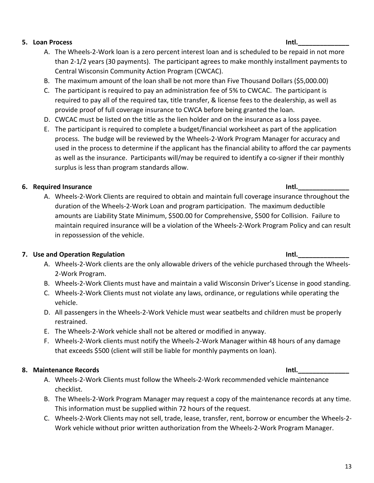#### **5. Loan Process Intl.\_\_\_\_\_\_\_\_\_\_\_\_\_\_**

- A. The Wheels-2-Work loan is a zero percent interest loan and is scheduled to be repaid in not more than 2-1/2 years (30 payments). The participant agrees to make monthly installment payments to Central Wisconsin Community Action Program (CWCAC).
- B. The maximum amount of the loan shall be not more than Five Thousand Dollars (\$5,000.00)
- C. The participant is required to pay an administration fee of 5% to CWCAC. The participant is required to pay all of the required tax, title transfer, & license fees to the dealership, as well as provide proof of full coverage insurance to CWCA before being granted the loan.
- D. CWCAC must be listed on the title as the lien holder and on the insurance as a loss payee.
- E. The participant is required to complete a budget/financial worksheet as part of the application process. The budge will be reviewed by the Wheels-2-Work Program Manager for accuracy and used in the process to determine if the applicant has the financial ability to afford the car payments as well as the insurance. Participants will/may be required to identify a co-signer if their monthly surplus is less than program standards allow.

# **6.** Required Insurance **Intervention Community** Constant Community Community Community Community Community Community

A. Wheels-2-Work Clients are required to obtain and maintain full coverage insurance throughout the duration of the Wheels-2-Work Loan and program participation. The maximum deductible amounts are Liability State Minimum, \$500.00 for Comprehensive, \$500 for Collision. Failure to maintain required insurance will be a violation of the Wheels-2-Work Program Policy and can result in repossession of the vehicle.

# **7.** Use and Operation Regulation **Internal Contract of Contract Authority Internal Contract Authority Intl.**

- A. Wheels-2-Work clients are the only allowable drivers of the vehicle purchased through the Wheels-2-Work Program.
- B. Wheels-2-Work Clients must have and maintain a valid Wisconsin Driver's License in good standing.
- C. Wheels-2-Work Clients must not violate any laws, ordinance, or regulations while operating the vehicle.
- D. All passengers in the Wheels-2-Work Vehicle must wear seatbelts and children must be properly restrained.
- E. The Wheels-2-Work vehicle shall not be altered or modified in anyway.
- F. Wheels-2-Work clients must notify the Wheels-2-Work Manager within 48 hours of any damage that exceeds \$500 (client will still be liable for monthly payments on loan).

# **8. Maintenance Records Intl.\_\_\_\_\_\_\_\_\_\_\_\_\_\_**

- A. Wheels-2-Work Clients must follow the Wheels-2-Work recommended vehicle maintenance checklist.
- B. The Wheels-2-Work Program Manager may request a copy of the maintenance records at any time. This information must be supplied within 72 hours of the request.
- C. Wheels-2-Work Clients may not sell, trade, lease, transfer, rent, borrow or encumber the Wheels-2- Work vehicle without prior written authorization from the Wheels-2-Work Program Manager.